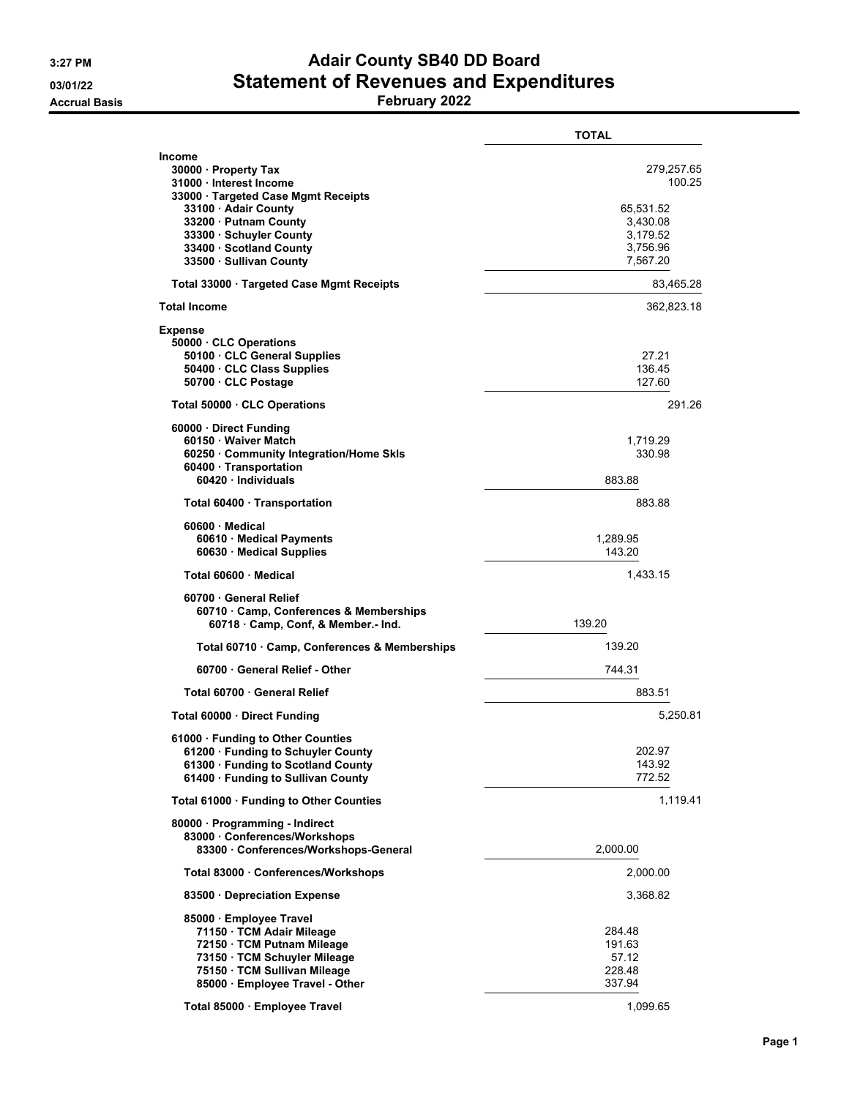## **3:27 PM Adair County SB40 DD Board 03/01/22 Statement of Revenues and Expenditures**

**Accrual Basis February 2022**

|                                                                                                                                                                                                                                           | <b>TOTAL</b>                                                                      |
|-------------------------------------------------------------------------------------------------------------------------------------------------------------------------------------------------------------------------------------------|-----------------------------------------------------------------------------------|
| <b>Income</b><br>30000 · Property Tax<br>31000 · Interest Income<br>33000 · Targeted Case Mgmt Receipts<br>33100 · Adair County<br>33200 · Putnam County<br>33300 · Schuyler County<br>33400 · Scotland County<br>33500 · Sullivan County | 279,257.65<br>100.25<br>65,531.52<br>3,430.08<br>3,179.52<br>3,756.96<br>7,567.20 |
| Total 33000 · Targeted Case Mgmt Receipts                                                                                                                                                                                                 | 83,465.28                                                                         |
| <b>Total Income</b>                                                                                                                                                                                                                       | 362,823.18                                                                        |
| <b>Expense</b><br>50000 CLC Operations<br>50100 · CLC General Supplies<br>50400 · CLC Class Supplies<br>50700 · CLC Postage                                                                                                               | 27.21<br>136.45<br>127.60                                                         |
| Total 50000 CLC Operations                                                                                                                                                                                                                | 291.26                                                                            |
| 60000 Direct Funding<br>60150 · Waiver Match<br>60250 Community Integration/Home Skls<br>60400 · Transportation<br>60420 Individuals                                                                                                      | 1,719.29<br>330.98<br>883.88                                                      |
| Total 60400 · Transportation                                                                                                                                                                                                              | 883.88                                                                            |
| 60600 Medical<br>60610 Medical Payments<br>60630 Medical Supplies                                                                                                                                                                         | 1,289.95<br>143.20                                                                |
| Total 60600 Medical                                                                                                                                                                                                                       | 1,433.15                                                                          |
| 60700 General Relief<br>60710 · Camp, Conferences & Memberships<br>60718 Camp, Conf, & Member.- Ind.                                                                                                                                      | 139.20                                                                            |
| Total 60710 · Camp, Conferences & Memberships                                                                                                                                                                                             | 139.20                                                                            |
| 60700 General Relief - Other                                                                                                                                                                                                              | 744.31                                                                            |
| Total 60700 · General Relief                                                                                                                                                                                                              | 883.51                                                                            |
| Total 60000 Direct Funding                                                                                                                                                                                                                | 5,250.81                                                                          |
| 61000 Funding to Other Counties<br>61200 Funding to Schuyler County<br>61300 · Funding to Scotland County<br>61400 · Funding to Sullivan County                                                                                           | 202.97<br>143.92<br>772.52                                                        |
| Total 61000 · Funding to Other Counties                                                                                                                                                                                                   | 1,119.41                                                                          |
| 80000 Programming - Indirect<br>83000 Conferences/Workshops<br>83300 · Conferences/Workshops-General                                                                                                                                      | 2,000.00                                                                          |
| Total 83000 · Conferences/Workshops                                                                                                                                                                                                       | 2,000.00                                                                          |
| 83500 Depreciation Expense                                                                                                                                                                                                                | 3,368.82                                                                          |
| 85000 Employee Travel<br>71150 · TCM Adair Mileage<br>72150 · TCM Putnam Mileage<br>73150 · TCM Schuyler Mileage<br>75150 TCM Sullivan Mileage<br>85000 · Employee Travel - Other                                                         | 284.48<br>191.63<br>57.12<br>228.48<br>337.94                                     |
| Total 85000 · Employee Travel                                                                                                                                                                                                             | 1,099.65                                                                          |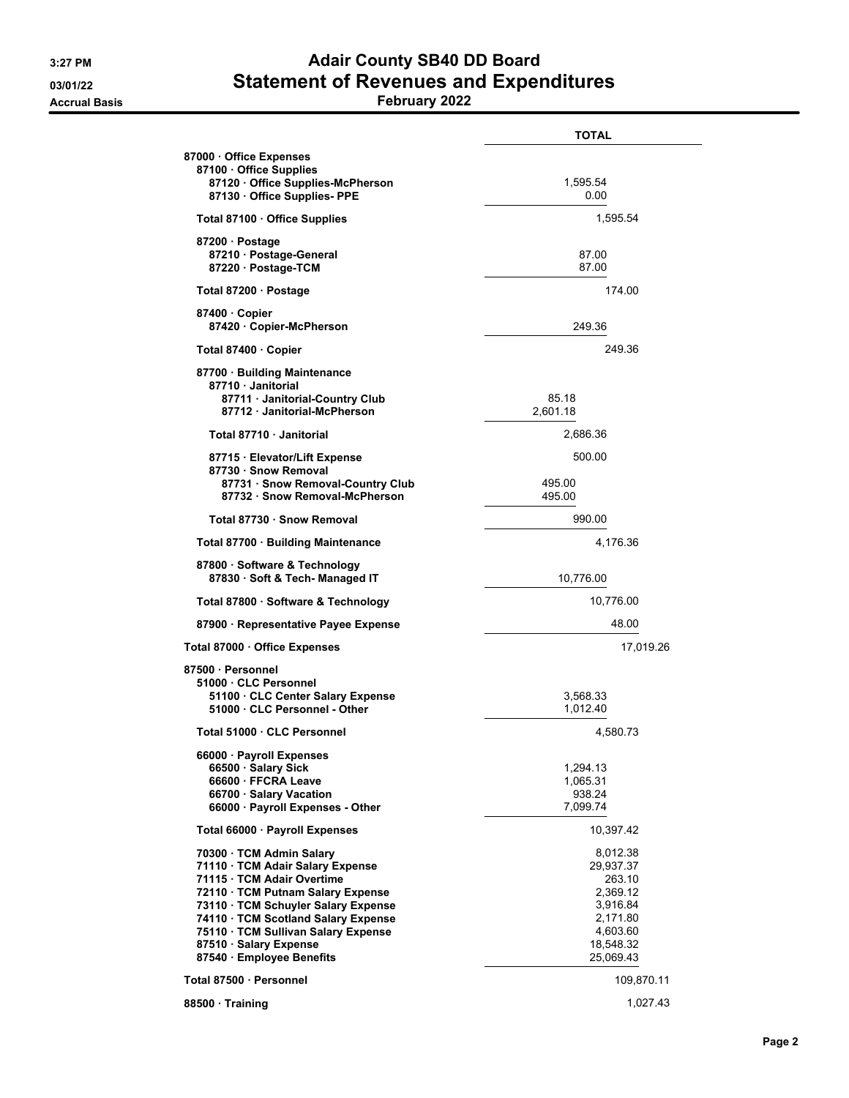## **3:27 PM Adair County SB40 DD Board 03/01/22 Statement of Revenues and Expenditures**

**Accrual Basis February 2022**

|                                                                                                                                                                                                                                                                                                         | TOTAL                                                                                                     |
|---------------------------------------------------------------------------------------------------------------------------------------------------------------------------------------------------------------------------------------------------------------------------------------------------------|-----------------------------------------------------------------------------------------------------------|
| 87000 Office Expenses<br>87100 Office Supplies                                                                                                                                                                                                                                                          |                                                                                                           |
| 87120 Office Supplies-McPherson<br>87130 Office Supplies- PPE                                                                                                                                                                                                                                           | 1,595.54<br>0.00                                                                                          |
| Total 87100 · Office Supplies                                                                                                                                                                                                                                                                           | 1.595.54                                                                                                  |
| 87200 Postage<br>87210 Postage-General<br>87220 · Postage-TCM                                                                                                                                                                                                                                           | 87.00<br>87.00                                                                                            |
| Total 87200 · Postage                                                                                                                                                                                                                                                                                   | 174.00                                                                                                    |
| 87400 Copier<br>87420 Copier-McPherson                                                                                                                                                                                                                                                                  | 249.36                                                                                                    |
| Total 87400 Copier                                                                                                                                                                                                                                                                                      | 249.36                                                                                                    |
| 87700 · Building Maintenance                                                                                                                                                                                                                                                                            |                                                                                                           |
| 87710 Janitorial<br>87711 · Janitorial-Country Club<br>87712 · Janitorial-McPherson                                                                                                                                                                                                                     | 85.18<br>2,601.18                                                                                         |
| Total 87710 Janitorial                                                                                                                                                                                                                                                                                  | 2.686.36                                                                                                  |
| 87715 · Elevator/Lift Expense<br>87730 · Snow Removal<br>87731 · Snow Removal-Country Club                                                                                                                                                                                                              | 500.00<br>495.00                                                                                          |
| 87732 · Snow Removal-McPherson                                                                                                                                                                                                                                                                          | 495.00                                                                                                    |
| Total 87730 · Snow Removal                                                                                                                                                                                                                                                                              | 990.00                                                                                                    |
| Total 87700 · Building Maintenance                                                                                                                                                                                                                                                                      | 4,176.36                                                                                                  |
| 87800 · Software & Technology<br>87830 · Soft & Tech- Managed IT                                                                                                                                                                                                                                        | 10,776.00                                                                                                 |
| Total 87800 · Software & Technology                                                                                                                                                                                                                                                                     | 10,776.00                                                                                                 |
| 87900 · Representative Payee Expense                                                                                                                                                                                                                                                                    | 48.00                                                                                                     |
| Total 87000 Office Expenses                                                                                                                                                                                                                                                                             | 17,019.26                                                                                                 |
| 87500 · Personnel<br>51000 · CLC Personnel                                                                                                                                                                                                                                                              |                                                                                                           |
| 51100 CLC Center Salary Expense<br>51000 CLC Personnel - Other                                                                                                                                                                                                                                          | 3,568.33<br>1,012.40                                                                                      |
| Total 51000 CLC Personnel                                                                                                                                                                                                                                                                               | 4,580.73                                                                                                  |
| 66000 · Payroll Expenses<br>66500 Salary Sick<br>66600 FFCRA Leave<br>66700 Salary Vacation<br>66000 · Payroll Expenses - Other                                                                                                                                                                         | 1,294.13<br>1,065.31<br>938.24<br>7,099.74                                                                |
| Total 66000 · Payroll Expenses                                                                                                                                                                                                                                                                          | 10,397.42                                                                                                 |
| 70300 · TCM Admin Salary<br>71110 · TCM Adair Salary Expense<br>71115 TCM Adair Overtime<br>72110 · TCM Putnam Salary Expense<br>73110 TCM Schuyler Salary Expense<br>74110 · TCM Scotland Salary Expense<br>75110 · TCM Sullivan Salary Expense<br>87510 · Salary Expense<br>87540 · Employee Benefits | 8,012.38<br>29,937.37<br>263.10<br>2,369.12<br>3,916.84<br>2,171.80<br>4,603.60<br>18,548.32<br>25,069.43 |
| Total 87500 · Personnel                                                                                                                                                                                                                                                                                 | 109,870.11                                                                                                |
| 88500 Training                                                                                                                                                                                                                                                                                          | 1,027.43                                                                                                  |
|                                                                                                                                                                                                                                                                                                         |                                                                                                           |